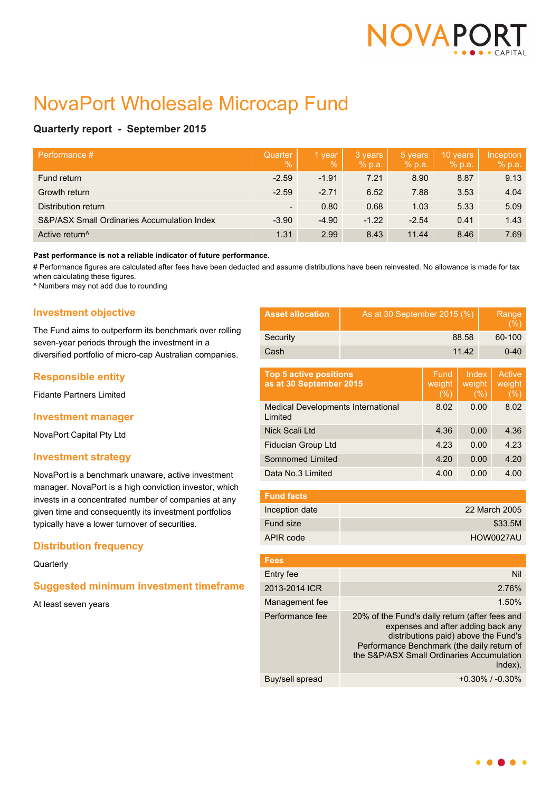

# NovaPort Wholesale Microcap Fund

# **Quarterly report - September 2015**

| Performance #                               | Quarter<br>$\%$ | 1 year<br>$\%$ | 3 years<br>% p.a. | 5 years<br>% p.a. | 10 years<br>% p.a. | Inception<br>% p.a. |
|---------------------------------------------|-----------------|----------------|-------------------|-------------------|--------------------|---------------------|
| Fund return                                 | $-2.59$         | $-1.91$        | 7.21              | 8.90              | 8.87               | 9.13                |
| Growth return                               | $-2.59$         | $-2.71$        | 6.52              | 7.88              | 3.53               | 4.04                |
| Distribution return                         | ۰.              | 0.80           | 0.68              | 1.03              | 5.33               | 5.09                |
| S&P/ASX Small Ordinaries Accumulation Index | $-3.90$         | $-4.90$        | $-1.22$           | $-2.54$           | 0.41               | 1.43                |
| Active return <sup>^</sup>                  | 1.31            | 2.99           | 8.43              | 11.44             | 8.46               | 7.69                |

#### **Past performance is not a reliable indicator of future performance.**

# Performance figures are calculated after fees have been deducted and assume distributions have been reinvested. No allowance is made for tax when calculating these figures.

^ Numbers may not add due to rounding

# **Investment objective**

The Fund aims to outperform its benchmark over rolling seven-year periods through the investment in a diversified portfolio of micro-cap Australian companies.

## **Responsible entity**

Fidante Partners Limited

## **Investment manager**

NovaPort Capital Pty Ltd

## **Investment strategy**

NovaPort is a benchmark unaware, active investment manager. NovaPort is a high conviction investor, which invests in a concentrated number of companies at any given time and consequently its investment portfolios typically have a lower turnover of securities.

## **Distribution frequency**

#### **Quarterly**

## **Suggested minimum investment timeframe**

At least seven years

| <b>Asset allocation</b>                                  | As at 30 September 2015 (%)                                                                                                                                                                                                           |                        |                                |          | Range<br>$(\% )$               |  |
|----------------------------------------------------------|---------------------------------------------------------------------------------------------------------------------------------------------------------------------------------------------------------------------------------------|------------------------|--------------------------------|----------|--------------------------------|--|
| Security                                                 | 88.58                                                                                                                                                                                                                                 |                        |                                |          | 60-100                         |  |
| Cash                                                     | 11.42                                                                                                                                                                                                                                 |                        |                                | $0 - 40$ |                                |  |
| <b>Top 5 active positions</b><br>as at 30 September 2015 |                                                                                                                                                                                                                                       | Fund<br>weight<br>(% ) | <b>Index</b><br>weight<br>(% ) |          | <b>Active</b><br>weight<br>(%) |  |
| <b>Medical Developments International</b><br>Limited     |                                                                                                                                                                                                                                       | 8.02                   | 0.00                           |          | 8.02                           |  |
| Nick Scali Ltd                                           |                                                                                                                                                                                                                                       | 4.36                   | 0.00                           |          | 4.36                           |  |
| <b>Fiducian Group Ltd</b>                                |                                                                                                                                                                                                                                       | 4.23                   | 0.00                           |          | 4.23                           |  |
| Somnomed Limited                                         |                                                                                                                                                                                                                                       | 4.20                   | 0.00                           |          | 4.20                           |  |
| Data No.3 Limited                                        |                                                                                                                                                                                                                                       | 4.00                   | 0.00                           |          | 4.00                           |  |
| <b>Fund facts</b>                                        |                                                                                                                                                                                                                                       |                        |                                |          |                                |  |
| Inception date                                           | 22 March 2005                                                                                                                                                                                                                         |                        |                                |          |                                |  |
| Fund size                                                | \$33.5M                                                                                                                                                                                                                               |                        |                                |          |                                |  |
| APIR code                                                | <b>HOW0027AU</b>                                                                                                                                                                                                                      |                        |                                |          |                                |  |
| <b>Fees</b>                                              |                                                                                                                                                                                                                                       |                        |                                |          |                                |  |
| Entry fee                                                |                                                                                                                                                                                                                                       |                        |                                |          | Nil                            |  |
| 2013-2014 ICR                                            | 2.76%                                                                                                                                                                                                                                 |                        |                                |          |                                |  |
| Management fee                                           | 1.50%                                                                                                                                                                                                                                 |                        |                                |          |                                |  |
| Performance fee                                          | 20% of the Fund's daily return (after fees and<br>expenses and after adding back any<br>distributions paid) above the Fund's<br>Performance Benchmark (the daily return of<br>the S&P/ASX Small Ordinaries Accumulation<br>$Index)$ . |                        |                                |          |                                |  |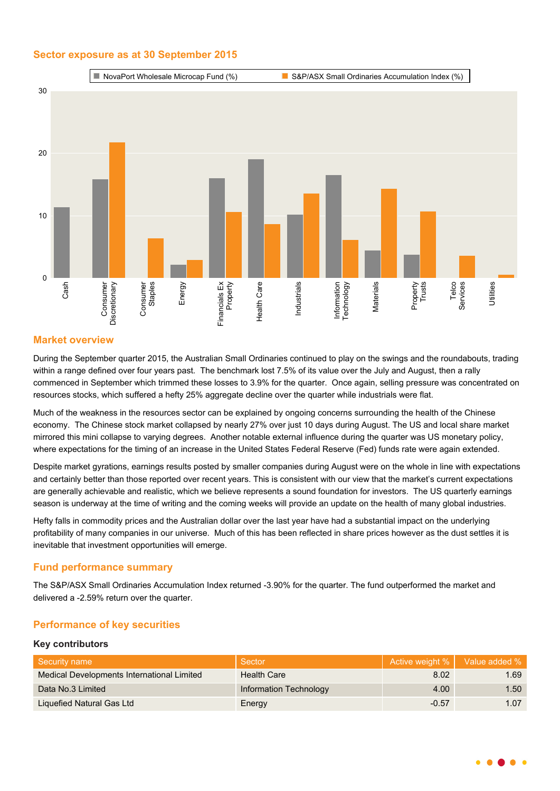# **Sector exposure as at 30 September 2015**



# **Market overview**

During the September quarter 2015, the Australian Small Ordinaries continued to play on the swings and the roundabouts, trading within a range defined over four years past. The benchmark lost 7.5% of its value over the July and August, then a rally commenced in September which trimmed these losses to 3.9% for the quarter. Once again, selling pressure was concentrated on resources stocks, which suffered a hefty 25% aggregate decline over the quarter while industrials were flat.

Much of the weakness in the resources sector can be explained by ongoing concerns surrounding the health of the Chinese economy. The Chinese stock market collapsed by nearly 27% over just 10 days during August. The US and local share market mirrored this mini collapse to varying degrees. Another notable external influence during the quarter was US monetary policy, where expectations for the timing of an increase in the United States Federal Reserve (Fed) funds rate were again extended.

Despite market gyrations, earnings results posted by smaller companies during August were on the whole in line with expectations and certainly better than those reported over recent years. This is consistent with our view that the market's current expectations are generally achievable and realistic, which we believe represents a sound foundation for investors. The US quarterly earnings season is underway at the time of writing and the coming weeks will provide an update on the health of many global industries.

Hefty falls in commodity prices and the Australian dollar over the last year have had a substantial impact on the underlying profitability of many companies in our universe. Much of this has been reflected in share prices however as the dust settles it is inevitable that investment opportunities will emerge.

## **Fund performance summary**

The S&P/ASX Small Ordinaries Accumulation Index returned -3.90% for the quarter. The fund outperformed the market and delivered a -2.59% return over the quarter.

## **Performance of key securities**

## **Key contributors**

| Security name                              | Sector                 |         | Active weight %   Value added % |
|--------------------------------------------|------------------------|---------|---------------------------------|
| Medical Developments International Limited | <b>Health Care</b>     | 8.02    | 1.69                            |
| Data No.3 Limited                          | Information Technology | 4.00    | 1.50                            |
| Liquefied Natural Gas Ltd                  | Energy                 | $-0.57$ | 1.07                            |